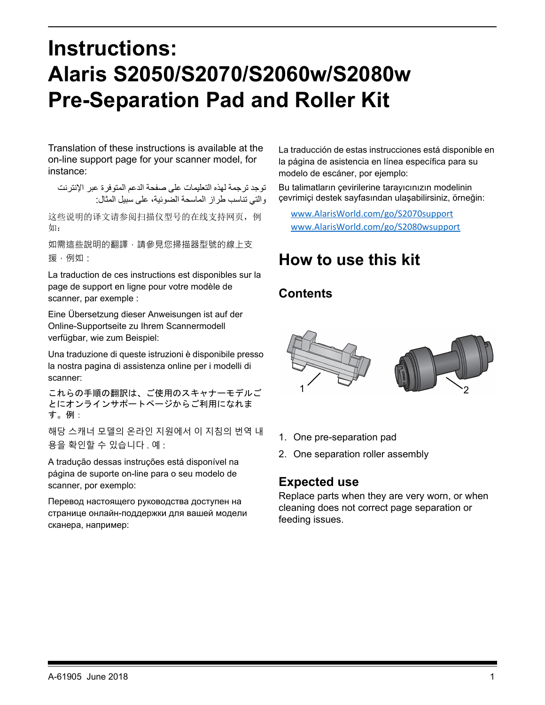# **Instructions: Alaris S2050/S2070/S2060w/S2080w Pre-Separation Pad and Roller Kit**

Translation of these instructions is available at the on-line support page for your scanner model, for instance:

توجد ترجمة لهذه التعليمات على صفحة الدعم المتوفرة عبر الإنترنت والتي تناسب طراز الماسحة الضوئية، على سبيل المثال:

这些说明的译文请参阅扫描仪型号的在线支持网页,例 如:

如需狺些說明的翻譯,請參見您掃描器型號的線上支 援,例如:

La traduction de ces instructions est disponibles sur la page de support en ligne pour votre modèle de scanner, par exemple :

Eine Übersetzung dieser Anweisungen ist auf der Online-Supportseite zu Ihrem Scannermodell verfügbar, wie zum Beispiel:

Una traduzione di queste istruzioni è disponibile presso la nostra pagina di assistenza online per i modelli di scanner:

これらの手順の翻訳は、ご使用のスキャナーモデルご とにオンラインサポートページからご利用になれま す。例:

해당 스캐너 모델의 온라인 지원에서 이 지침의 번역 내 용을 확인할 수 있습니다 . 예 :

A tradução dessas instruções está disponível na página de suporte on-line para o seu modelo de scanner, por exemplo:

Перевод настоящего руководства доступен на странице онлайн-поддержки для вашей модели сканера, например:

La traducción de estas instrucciones está disponible en la página de asistencia en línea específica para su modelo de escáner, por ejemplo:

Bu talimatların çevirilerine tarayıcınızın modelinin çevrimiçi destek sayfasından ulaşabilirsiniz, örneğin:

[www.AlarisWorld.com/go/S2070support](http://www.AlarisWorld.com/go/S2070support) [www.AlarisWorld.com/go/S2080wsupport](http://www.AlarisWorld.com/go/S2080wsupport)

#### **How to use this kit**

#### **Contents**



- 1. One pre-separation pad
- 2. One separation roller assembly

#### **Expected use**

Replace parts when they are very worn, or when cleaning does not correct page separation or feeding issues.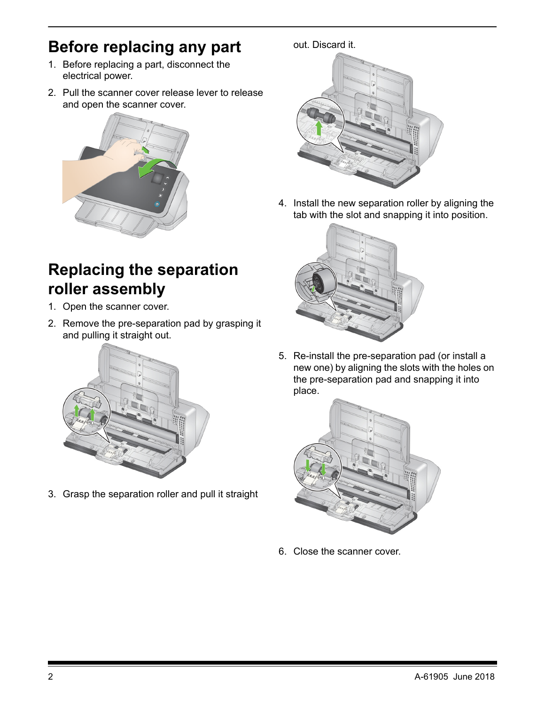## **Before replacing any part**

- 1. Before replacing a part, disconnect the electrical power.
- 2. Pull the scanner cover release lever to release and open the scanner cover.



#### **Replacing the separation roller assembly**

- 1. Open the scanner cover.
- 2. Remove the pre-separation pad by grasping it and pulling it straight out.



3. Grasp the separation roller and pull it straight

out. Discard it.

4. Install the new separation roller by aligning the tab with the slot and snapping it into position.



5. Re-install the pre-separation pad (or install a new one) by aligning the slots with the holes on the pre-separation pad and snapping it into place.



6. Close the scanner cover.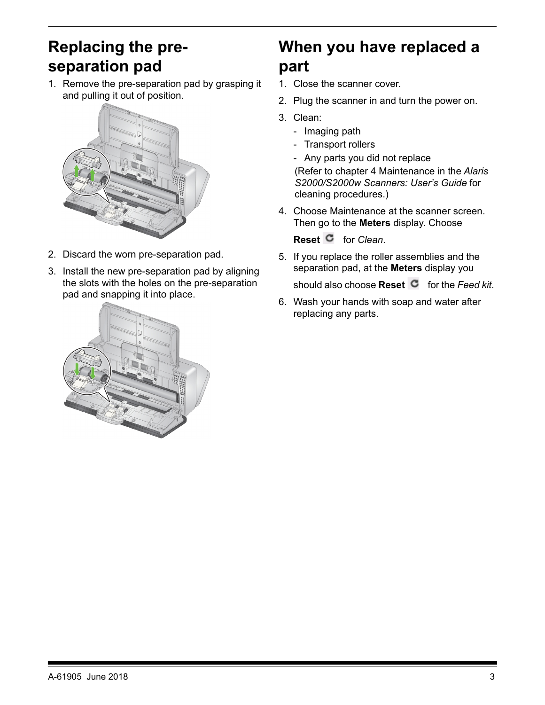### **Replacing the preseparation pad**

1. Remove the pre-separation pad by grasping it and pulling it out of position.



- 2. Discard the worn pre-separation pad.
- 3. Install the new pre-separation pad by aligning the slots with the holes on the pre-separation pad and snapping it into place.



## **When you have replaced a part**

- 1. Close the scanner cover.
- 2. Plug the scanner in and turn the power on.
- 3. Clean:
	- Imaging path
	- Transport rollers
	- Any parts you did not replace

(Refer to chapter 4 Maintenance in the *Alaris S2000/S2000w Scanners: User's Guide* for cleaning procedures.)

4. Choose Maintenance at the scanner screen. Then go to the **Meters** display. Choose

**Reset C** for *Clean*.

- 5. If you replace the roller assemblies and the separation pad, at the **Meters** display you should also choose **Reset C** for the *Feed kit*.
- 6. Wash your hands with soap and water after replacing any parts.